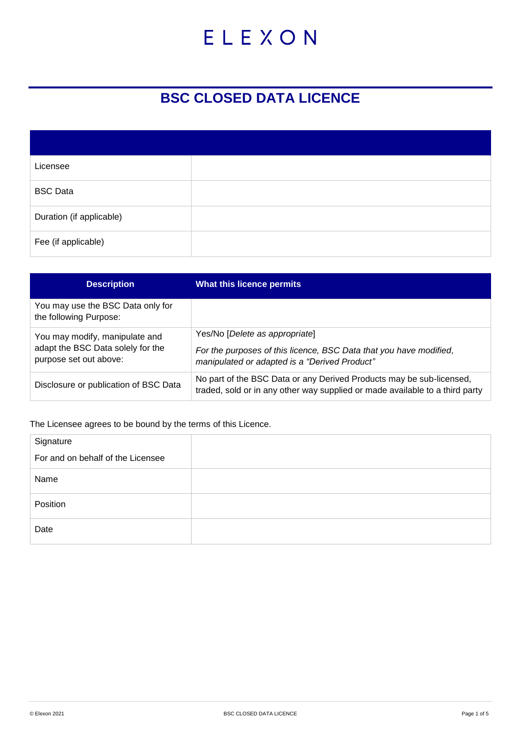# ELEXON

## **BSC CLOSED DATA LICENCE**

| Licensee                 |  |
|--------------------------|--|
| <b>BSC Data</b>          |  |
| Duration (if applicable) |  |
| Fee (if applicable)      |  |

| <b>Description</b>                                                                            | What this licence permits                                                                                                                             |
|-----------------------------------------------------------------------------------------------|-------------------------------------------------------------------------------------------------------------------------------------------------------|
| You may use the BSC Data only for<br>the following Purpose:                                   |                                                                                                                                                       |
| You may modify, manipulate and<br>adapt the BSC Data solely for the<br>purpose set out above: | Yes/No [Delete as appropriate]<br>For the purposes of this licence, BSC Data that you have modified,<br>manipulated or adapted is a "Derived Product" |
| Disclosure or publication of BSC Data                                                         | No part of the BSC Data or any Derived Products may be sub-licensed,<br>traded, sold or in any other way supplied or made available to a third party  |

The Licensee agrees to be bound by the terms of this Licence.

| Signature                         |  |
|-----------------------------------|--|
| For and on behalf of the Licensee |  |
| Name                              |  |
| Position                          |  |
| Date                              |  |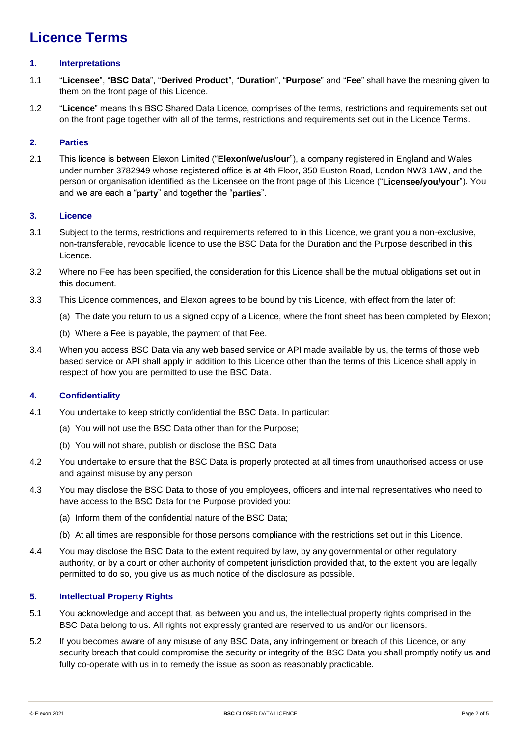### **Licence Terms**

#### **1. Interpretations**

- 1.1 "**Licensee**", "**BSC Data**", "**Derived Product**", "**Duration**", "**Purpose**" and "**Fee**" shall have the meaning given to them on the front page of this Licence.
- 1.2 "**Licence**" means this BSC Shared Data Licence, comprises of the terms, restrictions and requirements set out on the front page together with all of the terms, restrictions and requirements set out in the Licence Terms.

#### **2. Parties**

2.1 This licence is between Elexon Limited ("**Elexon/we/us/our**"), a company registered in England and Wales under number 3782949 whose registered office is at 4th Floor, 350 Euston Road, London NW3 1AW, and the person or organisation identified as the Licensee on the front page of this Licence ("**Licensee/you/your**"). You and we are each a "**party**" and together the "**parties**".

#### **3. Licence**

- 3.1 Subject to the terms, restrictions and requirements referred to in this Licence, we grant you a non-exclusive, non-transferable, revocable licence to use the BSC Data for the Duration and the Purpose described in this Licence.
- 3.2 Where no Fee has been specified, the consideration for this Licence shall be the mutual obligations set out in this document.
- 3.3 This Licence commences, and Elexon agrees to be bound by this Licence, with effect from the later of:
	- (a) The date you return to us a signed copy of a Licence, where the front sheet has been completed by Elexon;
	- (b) Where a Fee is payable, the payment of that Fee.
- 3.4 When you access BSC Data via any web based service or API made available by us, the terms of those web based service or API shall apply in addition to this Licence other than the terms of this Licence shall apply in respect of how you are permitted to use the BSC Data.

#### **4. Confidentiality**

- 4.1 You undertake to keep strictly confidential the BSC Data. In particular:
	- (a) You will not use the BSC Data other than for the Purpose;
	- (b) You will not share, publish or disclose the BSC Data
- 4.2 You undertake to ensure that the BSC Data is properly protected at all times from unauthorised access or use and against misuse by any person
- 4.3 You may disclose the BSC Data to those of you employees, officers and internal representatives who need to have access to the BSC Data for the Purpose provided you:
	- (a) Inform them of the confidential nature of the BSC Data;
	- (b) At all times are responsible for those persons compliance with the restrictions set out in this Licence.
- 4.4 You may disclose the BSC Data to the extent required by law, by any governmental or other regulatory authority, or by a court or other authority of competent jurisdiction provided that, to the extent you are legally permitted to do so, you give us as much notice of the disclosure as possible.

#### **5. Intellectual Property Rights**

- 5.1 You acknowledge and accept that, as between you and us, the intellectual property rights comprised in the BSC Data belong to us. All rights not expressly granted are reserved to us and/or our licensors.
- 5.2 If you becomes aware of any misuse of any BSC Data, any infringement or breach of this Licence, or any security breach that could compromise the security or integrity of the BSC Data you shall promptly notify us and fully co-operate with us in to remedy the issue as soon as reasonably practicable.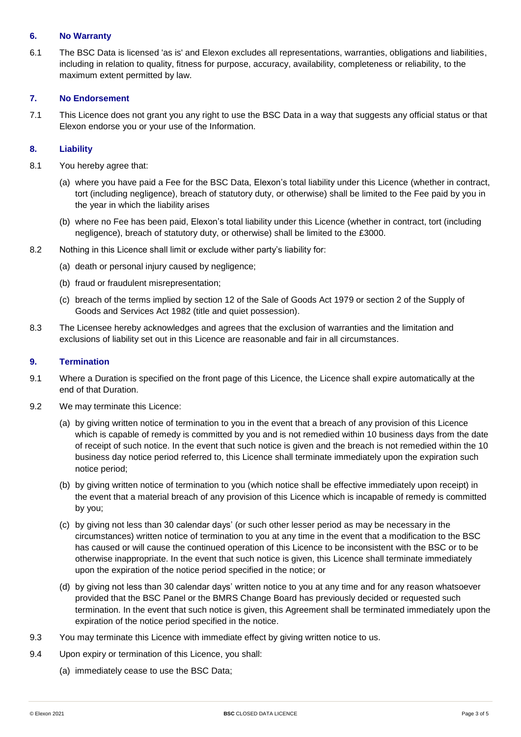#### **6. No Warranty**

6.1 The BSC Data is licensed 'as is' and Elexon excludes all representations, warranties, obligations and liabilities, including in relation to quality, fitness for purpose, accuracy, availability, completeness or reliability, to the maximum extent permitted by law.

#### **7. No Endorsement**

7.1 This Licence does not grant you any right to use the BSC Data in a way that suggests any official status or that Elexon endorse you or your use of the Information.

#### **8. Liability**

- 8.1 You hereby agree that:
	- (a) where you have paid a Fee for the BSC Data, Elexon's total liability under this Licence (whether in contract, tort (including negligence), breach of statutory duty, or otherwise) shall be limited to the Fee paid by you in the year in which the liability arises
	- (b) where no Fee has been paid, Elexon's total liability under this Licence (whether in contract, tort (including negligence), breach of statutory duty, or otherwise) shall be limited to the £3000.
- 8.2 Nothing in this Licence shall limit or exclude wither party's liability for:
	- (a) death or personal injury caused by negligence;
	- (b) fraud or fraudulent misrepresentation;
	- (c) breach of the terms implied by section 12 of the Sale of Goods Act 1979 or section 2 of the Supply of Goods and Services Act 1982 (title and quiet possession).
- 8.3 The Licensee hereby acknowledges and agrees that the exclusion of warranties and the limitation and exclusions of liability set out in this Licence are reasonable and fair in all circumstances.

#### **9. Termination**

- 9.1 Where a Duration is specified on the front page of this Licence, the Licence shall expire automatically at the end of that Duration.
- 9.2 We may terminate this Licence:
	- (a) by giving written notice of termination to you in the event that a breach of any provision of this Licence which is capable of remedy is committed by you and is not remedied within 10 business days from the date of receipt of such notice. In the event that such notice is given and the breach is not remedied within the 10 business day notice period referred to, this Licence shall terminate immediately upon the expiration such notice period;
	- (b) by giving written notice of termination to you (which notice shall be effective immediately upon receipt) in the event that a material breach of any provision of this Licence which is incapable of remedy is committed by you;
	- (c) by giving not less than 30 calendar days' (or such other lesser period as may be necessary in the circumstances) written notice of termination to you at any time in the event that a modification to the BSC has caused or will cause the continued operation of this Licence to be inconsistent with the BSC or to be otherwise inappropriate. In the event that such notice is given, this Licence shall terminate immediately upon the expiration of the notice period specified in the notice; or
	- (d) by giving not less than 30 calendar days' written notice to you at any time and for any reason whatsoever provided that the BSC Panel or the BMRS Change Board has previously decided or requested such termination. In the event that such notice is given, this Agreement shall be terminated immediately upon the expiration of the notice period specified in the notice.
- 9.3 You may terminate this Licence with immediate effect by giving written notice to us.
- 9.4 Upon expiry or termination of this Licence, you shall:
	- (a) immediately cease to use the BSC Data;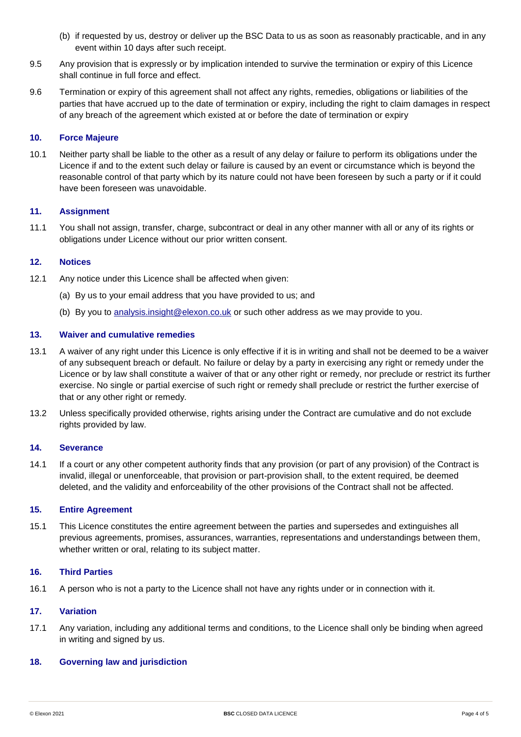- (b) if requested by us, destroy or deliver up the BSC Data to us as soon as reasonably practicable, and in any event within 10 days after such receipt.
- 9.5 Any provision that is expressly or by implication intended to survive the termination or expiry of this Licence shall continue in full force and effect.
- 9.6 Termination or expiry of this agreement shall not affect any rights, remedies, obligations or liabilities of the parties that have accrued up to the date of termination or expiry, including the right to claim damages in respect of any breach of the agreement which existed at or before the date of termination or expiry

#### **10. Force Majeure**

10.1 Neither party shall be liable to the other as a result of any delay or failure to perform its obligations under the Licence if and to the extent such delay or failure is caused by an event or circumstance which is beyond the reasonable control of that party which by its nature could not have been foreseen by such a party or if it could have been foreseen was unavoidable.

#### **11. Assignment**

11.1 You shall not assign, transfer, charge, subcontract or deal in any other manner with all or any of its rights or obligations under Licence without our prior written consent.

#### **12. Notices**

- 12.1 Any notice under this Licence shall be affected when given:
	- (a) By us to your email address that you have provided to us; and
	- (b) By you to [analysis.insight@elexon.co.uk](mailto:analysis.insight@elexon.co.uk) or such other address as we may provide to you.

#### **13. Waiver and cumulative remedies**

- 13.1 A waiver of any right under this Licence is only effective if it is in writing and shall not be deemed to be a waiver of any subsequent breach or default. No failure or delay by a party in exercising any right or remedy under the Licence or by law shall constitute a waiver of that or any other right or remedy, nor preclude or restrict its further exercise. No single or partial exercise of such right or remedy shall preclude or restrict the further exercise of that or any other right or remedy.
- 13.2 Unless specifically provided otherwise, rights arising under the Contract are cumulative and do not exclude rights provided by law.

#### **14. Severance**

14.1 If a court or any other competent authority finds that any provision (or part of any provision) of the Contract is invalid, illegal or unenforceable, that provision or part-provision shall, to the extent required, be deemed deleted, and the validity and enforceability of the other provisions of the Contract shall not be affected.

#### **15. Entire Agreement**

15.1 This Licence constitutes the entire agreement between the parties and supersedes and extinguishes all previous agreements, promises, assurances, warranties, representations and understandings between them, whether written or oral, relating to its subject matter.

#### **16. Third Parties**

16.1 A person who is not a party to the Licence shall not have any rights under or in connection with it.

#### **17. Variation**

17.1 Any variation, including any additional terms and conditions, to the Licence shall only be binding when agreed in writing and signed by us.

#### **18. Governing law and jurisdiction**